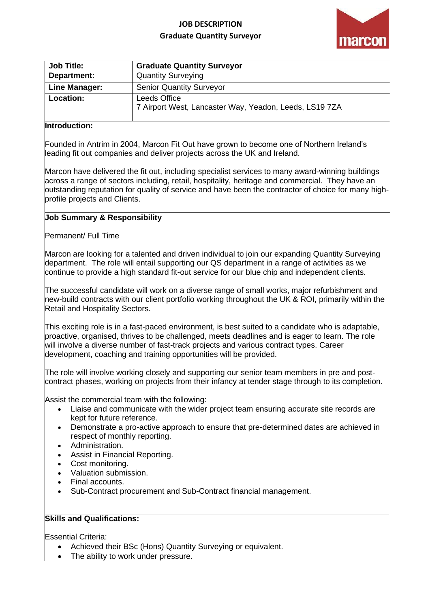# **JOB DESCRIPTION Graduate Quantity Surveyor**



| <b>Job Title:</b> | <b>Graduate Quantity Surveyor</b>                                      |
|-------------------|------------------------------------------------------------------------|
| Department:       | <b>Quantity Surveying</b>                                              |
| Line Manager:     | <b>Senior Quantity Surveyor</b>                                        |
| Location:         | Leeds Office<br>7 Airport West, Lancaster Way, Yeadon, Leeds, LS19 7ZA |

## **Introduction:**

Founded in Antrim in 2004, Marcon Fit Out have grown to become one of Northern Ireland's leading fit out companies and deliver projects across the UK and Ireland.

Marcon have delivered the fit out, including specialist services to many award-winning buildings across a range of sectors including, retail, hospitality, heritage and commercial. They have an outstanding reputation for quality of service and have been the contractor of choice for many highprofile projects and Clients.

#### **Job Summary & Responsibility**

Permanent/ Full Time

Marcon are looking for a talented and driven individual to join our expanding Quantity Surveying department. The role will entail supporting our QS department in a range of activities as we continue to provide a high standard fit-out service for our blue chip and independent clients.

The successful candidate will work on a diverse range of small works, major refurbishment and new-build contracts with our client portfolio working throughout the UK & ROI, primarily within the Retail and Hospitality Sectors.

This exciting role is in a fast-paced environment, is best suited to a candidate who is adaptable, proactive, organised, thrives to be challenged, meets deadlines and is eager to learn. The role will involve a diverse number of fast-track projects and various contract types. Career development, coaching and training opportunities will be provided.

The role will involve working closely and supporting our senior team members in pre and postcontract phases, working on projects from their infancy at tender stage through to its completion.

Assist the commercial team with the following:

- Liaise and communicate with the wider project team ensuring accurate site records are kept for future reference.
- Demonstrate a pro-active approach to ensure that pre-determined dates are achieved in respect of monthly reporting.
- Administration.
- Assist in Financial Reporting.
- Cost monitoring.
- Valuation submission.
- Final accounts.
- Sub-Contract procurement and Sub-Contract financial management.

# **Skills and Qualifications:**

Essential Criteria:

- Achieved their [BSc \(Hons\) Quantity Surveying](https://www.google.com/url?sa=t&rct=j&q=&esrc=s&source=web&cd=&cad=rja&uact=8&ved=2ahUKEwi-lMSc64H3AhVcQEEAHcO4AYQQFnoECAgQAQ&url=https%3A%2F%2Fwww.gcu.ac.uk%2Fstudy%2Fcourses%2Fdetails%2Findex.php%2FP00318%2FQuantity_Surveying%2F&usg=AOvVaw3BnkImMBJhvxogL0Pp9Dag) or equivalent.
- The ability to work under pressure.